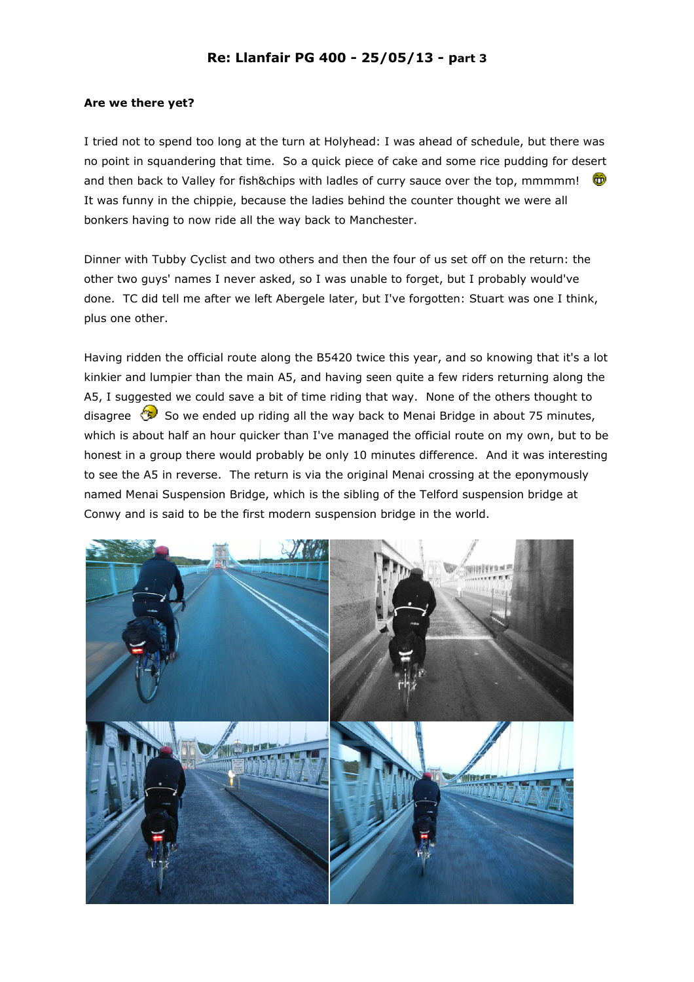## Are we there yet?

I tried not to spend too long at the turn at Holyhead: I was ahead of schedule, but there was no point in squandering that time. So a quick piece of cake and some rice pudding for desert and then back to Valley for fish&chips with ladles of curry sauce over the top, mmmmm! It was funny in the chippie, because the ladies behind the counter thought we were all bonkers having to now ride all the way back to Manchester.

Dinner with Tubby Cyclist and two others and then the four of us set off on the return: the other two guys' names I never asked, so I was unable to forget, but I probably would've done. TC did tell me after we left Abergele later, but I've forgotten: Stuart was one I think, plus one other.

Having ridden the official route along the B5420 twice this year, and so knowing that it's a lot kinkier and lumpier than the main A5, and having seen quite a few riders returning along the A5, I suggested we could save a bit of time riding that way. None of the others thought to disagree  $\circledast$  So we ended up riding all the way back to Menai Bridge in about 75 minutes, which is about half an hour quicker than I've managed the official route on my own, but to be honest in a group there would probably be only 10 minutes difference. And it was interesting to see the A5 in reverse. The return is via the original Menai crossing at the eponymously named Menai Suspension Bridge, which is the sibling of the Telford suspension bridge at Conwy and is said to be the first modern suspension bridge in the world.

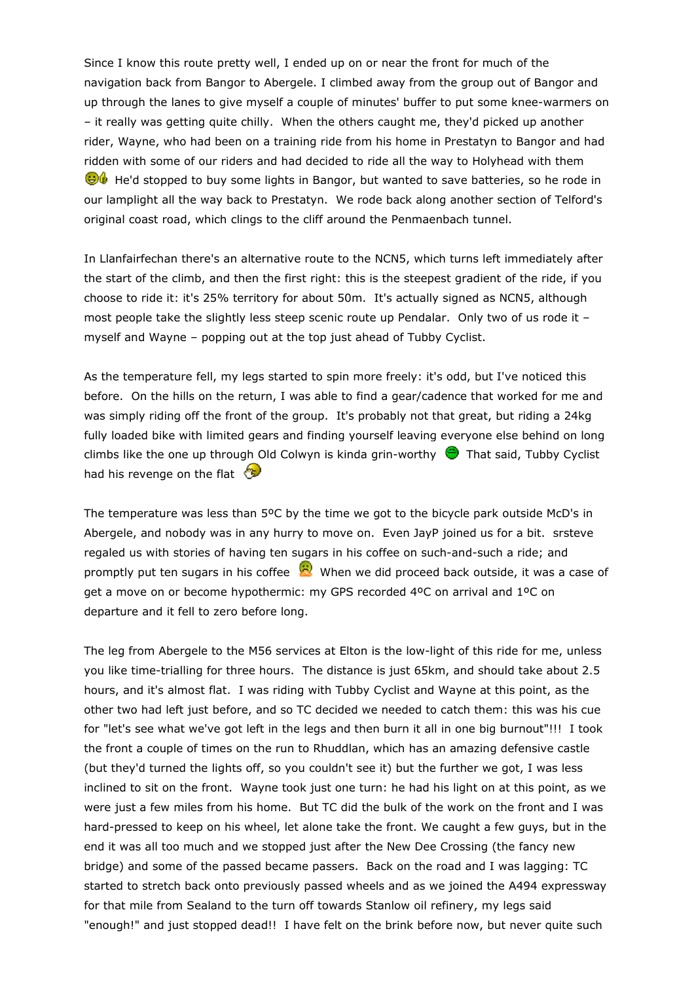Since I know this route pretty well, I ended up on or near the front for much of the navigation back from Bangor to Abergele. I climbed away from the group out of Bangor and up through the lanes to give myself a couple of minutes' buffer to put some knee-warmers on – it really was getting quite chilly. When the others caught me, they'd picked up another rider, Wayne, who had been on a training ride from his home in Prestatyn to Bangor and had ridden with some of our riders and had decided to ride all the way to Holyhead with them  $\Theta$  He'd stopped to buy some lights in Bangor, but wanted to save batteries, so he rode in our lamplight all the way back to Prestatyn. We rode back along another section of Telford's original coast road, which clings to the cliff around the Penmaenbach tunnel.

In Llanfairfechan there's an alternative route to the NCN5, which turns left immediately after the start of the climb, and then the first right: this is the steepest gradient of the ride, if you choose to ride it: it's 25% territory for about 50m. It's actually signed as NCN5, although most people take the slightly less steep scenic route up Pendalar. Only two of us rode it – myself and Wayne – popping out at the top just ahead of Tubby Cyclist.

As the temperature fell, my legs started to spin more freely: it's odd, but I've noticed this before. On the hills on the return, I was able to find a gear/cadence that worked for me and was simply riding off the front of the group. It's probably not that great, but riding a 24kg fully loaded bike with limited gears and finding yourself leaving everyone else behind on long climbs like the one up through Old Colwyn is kinda grin-worthy  $\bullet$  That said, Tubby Cyclist had his revenge on the flat  $\mathbb{G}$ 

The temperature was less than 5ºC by the time we got to the bicycle park outside McD's in Abergele, and nobody was in any hurry to move on. Even JayP joined us for a bit. srsteve regaled us with stories of having ten sugars in his coffee on such-and-such a ride; and promptly put ten sugars in his coffee  $\mathbb{R}^N$  When we did proceed back outside, it was a case of get a move on or become hypothermic: my GPS recorded 4ºC on arrival and 1ºC on departure and it fell to zero before long.

The leg from Abergele to the M56 services at Elton is the low-light of this ride for me, unless you like time-trialling for three hours. The distance is just 65km, and should take about 2.5 hours, and it's almost flat. I was riding with Tubby Cyclist and Wayne at this point, as the other two had left just before, and so TC decided we needed to catch them: this was his cue for "let's see what we've got left in the legs and then burn it all in one big burnout"!!! I took the front a couple of times on the run to Rhuddlan, which has an amazing defensive castle (but they'd turned the lights off, so you couldn't see it) but the further we got, I was less inclined to sit on the front. Wayne took just one turn: he had his light on at this point, as we were just a few miles from his home. But TC did the bulk of the work on the front and I was hard-pressed to keep on his wheel, let alone take the front. We caught a few guys, but in the end it was all too much and we stopped just after the New Dee Crossing (the fancy new bridge) and some of the passed became passers. Back on the road and I was lagging: TC started to stretch back onto previously passed wheels and as we joined the A494 expressway for that mile from Sealand to the turn off towards Stanlow oil refinery, my legs said "enough!" and just stopped dead!! I have felt on the brink before now, but never quite such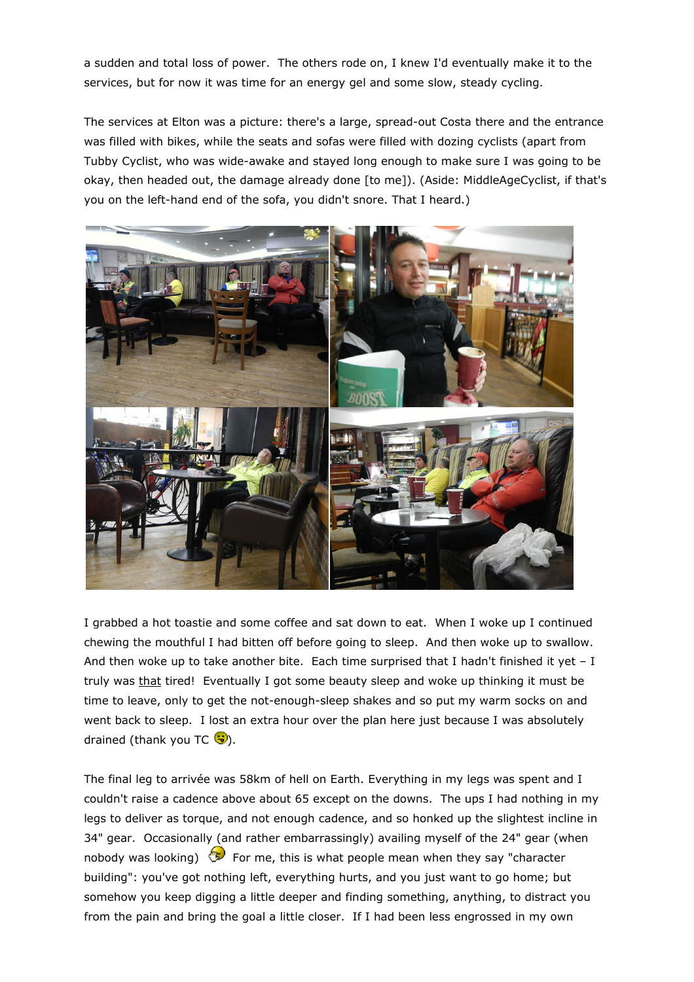a sudden and total loss of power. The others rode on, I knew I'd eventually make it to the services, but for now it was time for an energy gel and some slow, steady cycling.

The services at Elton was a picture: there's a large, spread-out Costa there and the entrance was filled with bikes, while the seats and sofas were filled with dozing cyclists (apart from Tubby Cyclist, who was wide-awake and stayed long enough to make sure I was going to be okay, then headed out, the damage already done [to me]). (Aside: MiddleAgeCyclist, if that's you on the left-hand end of the sofa, you didn't snore. That I heard.)



I grabbed a hot toastie and some coffee and sat down to eat. When I woke up I continued chewing the mouthful I had bitten off before going to sleep. And then woke up to swallow. And then woke up to take another bite. Each time surprised that I hadn't finished it yet  $- I$ truly was that tired! Eventually I got some beauty sleep and woke up thinking it must be time to leave, only to get the not-enough-sleep shakes and so put my warm socks on and went back to sleep. I lost an extra hour over the plan here just because I was absolutely drained (thank you TC  $\ddot{S}$ ).

The final leg to arrivée was 58km of hell on Earth. Everything in my legs was spent and I couldn't raise a cadence above about 65 except on the downs. The ups I had nothing in my legs to deliver as torque, and not enough cadence, and so honked up the slightest incline in 34" gear. Occasionally (and rather embarrassingly) availing myself of the 24" gear (when nobody was looking)  $\circled{3}$  For me, this is what people mean when they say "character building": you've got nothing left, everything hurts, and you just want to go home; but somehow you keep digging a little deeper and finding something, anything, to distract you from the pain and bring the goal a little closer. If I had been less engrossed in my own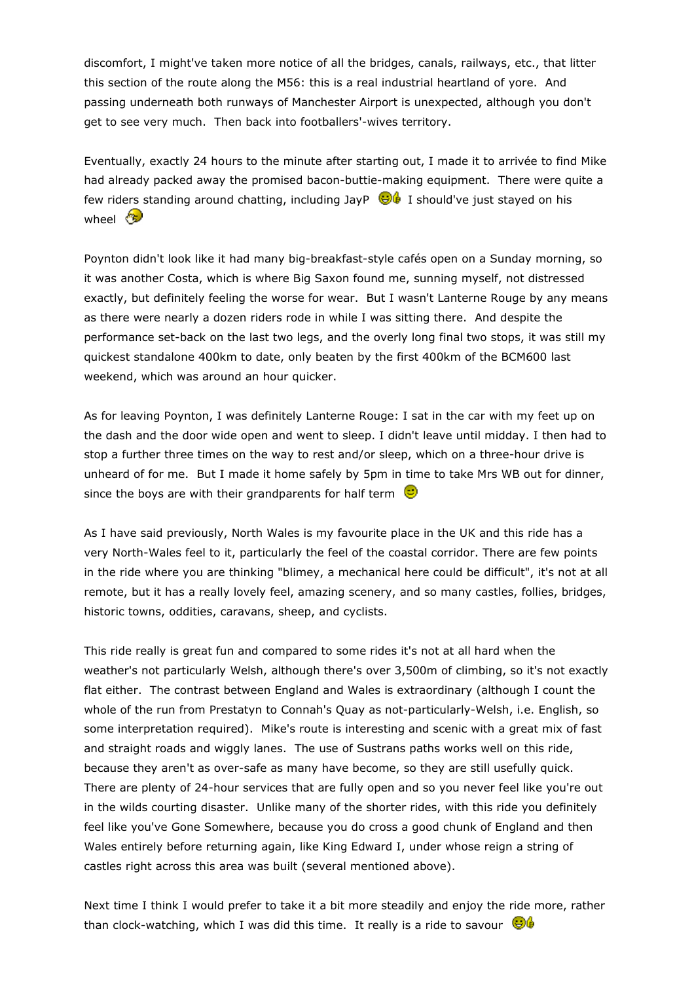discomfort, I might've taken more notice of all the bridges, canals, railways, etc., that litter this section of the route along the M56: this is a real industrial heartland of yore. And passing underneath both runways of Manchester Airport is unexpected, although you don't get to see very much. Then back into footballers'-wives territory.

Eventually, exactly 24 hours to the minute after starting out, I made it to arrivée to find Mike had already packed away the promised bacon-buttie-making equipment. There were quite a few riders standing around chatting, including JayP  $\bigcirc$  I should've just stayed on his wheel  $\circledast$ 

Poynton didn't look like it had many big-breakfast-style cafés open on a Sunday morning, so it was another Costa, which is where Big Saxon found me, sunning myself, not distressed exactly, but definitely feeling the worse for wear. But I wasn't Lanterne Rouge by any means as there were nearly a dozen riders rode in while I was sitting there. And despite the performance set-back on the last two legs, and the overly long final two stops, it was still my quickest standalone 400km to date, only beaten by the first 400km of the BCM600 last weekend, which was around an hour quicker.

As for leaving Poynton, I was definitely Lanterne Rouge: I sat in the car with my feet up on the dash and the door wide open and went to sleep. I didn't leave until midday. I then had to stop a further three times on the way to rest and/or sleep, which on a three-hour drive is unheard of for me. But I made it home safely by 5pm in time to take Mrs WB out for dinner, since the boys are with their grandparents for half term  $\ddot{\bullet}$ 

As I have said previously, North Wales is my favourite place in the UK and this ride has a very North-Wales feel to it, particularly the feel of the coastal corridor. There are few points in the ride where you are thinking "blimey, a mechanical here could be difficult", it's not at all remote, but it has a really lovely feel, amazing scenery, and so many castles, follies, bridges, historic towns, oddities, caravans, sheep, and cyclists.

This ride really is great fun and compared to some rides it's not at all hard when the weather's not particularly Welsh, although there's over 3,500m of climbing, so it's not exactly flat either. The contrast between England and Wales is extraordinary (although I count the whole of the run from Prestatyn to Connah's Quay as not-particularly-Welsh, i.e. English, so some interpretation required). Mike's route is interesting and scenic with a great mix of fast and straight roads and wiggly lanes. The use of Sustrans paths works well on this ride, because they aren't as over-safe as many have become, so they are still usefully quick. There are plenty of 24-hour services that are fully open and so you never feel like you're out in the wilds courting disaster. Unlike many of the shorter rides, with this ride you definitely feel like you've Gone Somewhere, because you do cross a good chunk of England and then Wales entirely before returning again, like King Edward I, under whose reign a string of castles right across this area was built (several mentioned above).

Next time I think I would prefer to take it a bit more steadily and enjoy the ride more, rather than clock-watching, which I was did this time. It really is a ride to savour  $\bigcirc$